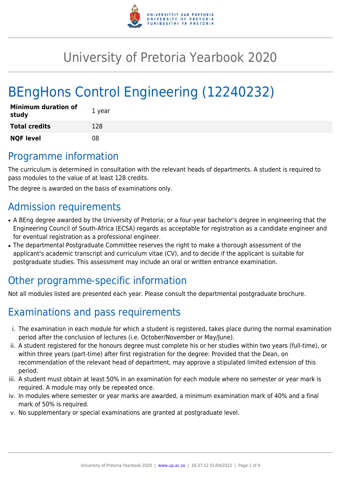

## University of Pretoria Yearbook 2020

# BEngHons Control Engineering (12240232)

| <b>Minimum duration of</b><br>study | 1 year |
|-------------------------------------|--------|
| <b>Total credits</b>                | 128    |
| <b>NQF level</b>                    | 08     |

### Programme information

The curriculum is determined in consultation with the relevant heads of departments. A student is required to pass modules to the value of at least 128 credits.

The degree is awarded on the basis of examinations only.

### Admission requirements

- A BEng degree awarded by the University of Pretoria; or a four-year bachelor's degree in engineering that the Engineering Council of South-Africa (ECSA) regards as acceptable for registration as a candidate engineer and for eventual registration as a professional engineer.
- The departmental Postgraduate Committee reserves the right to make a thorough assessment of the applicant's academic transcript and curriculum vitae (CV), and to decide if the applicant is suitable for postgraduate studies. This assessment may include an oral or written entrance examination.

### Other programme-specific information

Not all modules listed are presented each year. Please consult the departmental postgraduate brochure.

### Examinations and pass requirements

- i. The examination in each module for which a student is registered, takes place during the normal examination period after the conclusion of lectures (i.e. October/November or May/June).
- ii. A student registered for the honours degree must complete his or her studies within two years (full-time), or within three years (part-time) after first registration for the degree: Provided that the Dean, on recommendation of the relevant head of department, may approve a stipulated limited extension of this period.
- iii. A student must obtain at least 50% in an examination for each module where no semester or year mark is required. A module may only be repeated once.
- iv. In modules where semester or year marks are awarded, a minimum examination mark of 40% and a final mark of 50% is required.
- v. No supplementary or special examinations are granted at postgraduate level.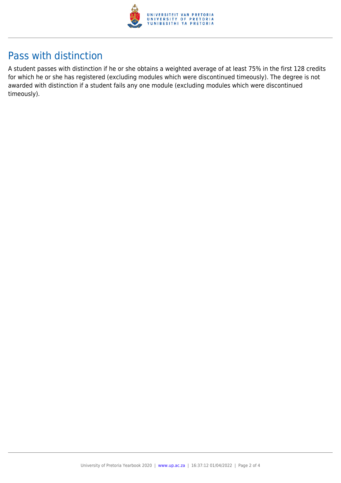

### Pass with distinction

A student passes with distinction if he or she obtains a weighted average of at least 75% in the first 128 credits for which he or she has registered (excluding modules which were discontinued timeously). The degree is not awarded with distinction if a student fails any one module (excluding modules which were discontinued timeously).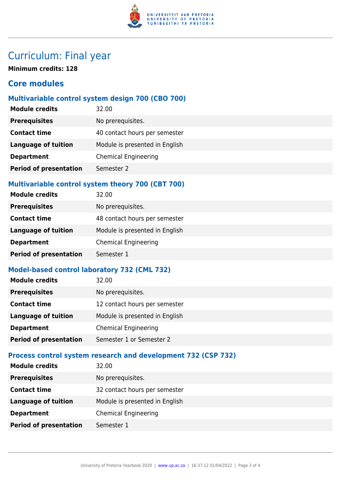

### Curriculum: Final year

**Minimum credits: 128**

#### **Core modules**

#### **Multivariable control system design 700 (CBO 700)**

| <b>Module credits</b>         | 32.00                          |
|-------------------------------|--------------------------------|
| <b>Prerequisites</b>          | No prerequisites.              |
| <b>Contact time</b>           | 40 contact hours per semester  |
| <b>Language of tuition</b>    | Module is presented in English |
| <b>Department</b>             | <b>Chemical Engineering</b>    |
| <b>Period of presentation</b> | Semester 2                     |

#### **Multivariable control system theory 700 (CBT 700)**

| <b>Module credits</b>         | 32.00                          |
|-------------------------------|--------------------------------|
| <b>Prerequisites</b>          | No prerequisites.              |
| <b>Contact time</b>           | 48 contact hours per semester  |
| <b>Language of tuition</b>    | Module is presented in English |
| <b>Department</b>             | <b>Chemical Engineering</b>    |
| <b>Period of presentation</b> | Semester 1                     |

#### **Model-based control laboratory 732 (CML 732)**

| 32.00                          |
|--------------------------------|
| No prerequisites.              |
| 12 contact hours per semester  |
| Module is presented in English |
| <b>Chemical Engineering</b>    |
| Semester 1 or Semester 2       |
|                                |

#### **Process control system research and development 732 (CSP 732)**

| <b>Module credits</b>         | 32.00                          |
|-------------------------------|--------------------------------|
| <b>Prerequisites</b>          | No prerequisites.              |
| <b>Contact time</b>           | 32 contact hours per semester  |
| <b>Language of tuition</b>    | Module is presented in English |
| <b>Department</b>             | <b>Chemical Engineering</b>    |
| <b>Period of presentation</b> | Semester 1                     |